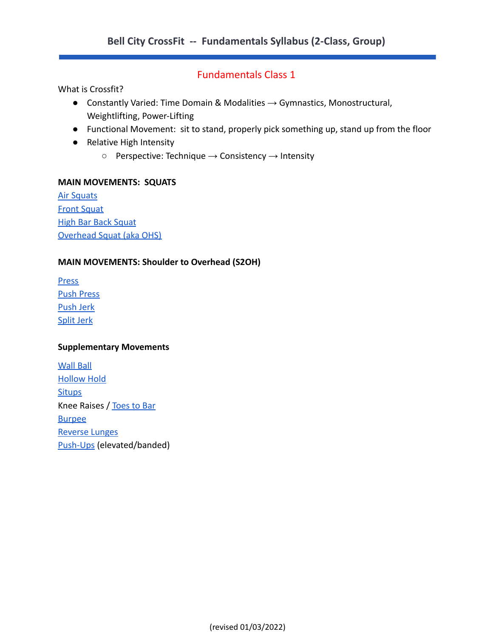# Fundamentals Class 1

What is Crossfit?

- $\bullet$  Constantly Varied: Time Domain & Modalities  $\rightarrow$  Gymnastics, Monostructural, Weightlifting, Power-Lifting
- Functional Movement: sit to stand, properly pick something up, stand up from the floor
- Relative High Intensity
	- $\circ$  Perspective: Technique  $\rightarrow$  Consistency  $\rightarrow$  Intensity

#### **MAIN MOVEMENTS: SQUATS**

[Air Squats](https://www.youtube.com/watch?time_continue=2&v=C_VtOYc6j5c) **[Front Squat](https://www.youtube.com/watch?v=m4ytaCJZpl0)** [High Bar Back Squat](https://youtu.be/ultWZbUMPL8) [Overhead Squat \(aka OHS\)](https://www.youtube.com/watch?v=RD_vUnqwqqI)

### **MAIN MOVEMENTS: Shoulder to Overhead (S2OH)**

[Press](https://www.youtube.com/watch?v=xe19t2_6yis) [Push Press](https://www.youtube.com/watch?v=X6-DMh-t4nQ) [Push Jerk](https://www.youtube.com/watch?v=V-hKuAfWNUw) [Split Jerk](https://youtu.be/PsiO8lZTU2I)

#### **Supplementary Movements**

[Wall Ball](https://www.youtube.com/watch?v=fpUD0mcFp_0) [Hollow Hold](https://youtu.be/XzQe1S91Fr0) **[Situps](https://www.youtube.com/watch?v=_HDZODOx7Zw)** Knee Raises / [Toes to Bar](https://www.youtube.com/watch?v=_03pCKOv4l4&feature=youtu.be) [Burpee](https://youtu.be/TU8QYVW0gDU) [Reverse Lunges](https://youtu.be/rkl7RegKP2g) [Push-Ups](https://www.youtube.com/watch?v=_l3ySVKYVJ8) (elevated/banded)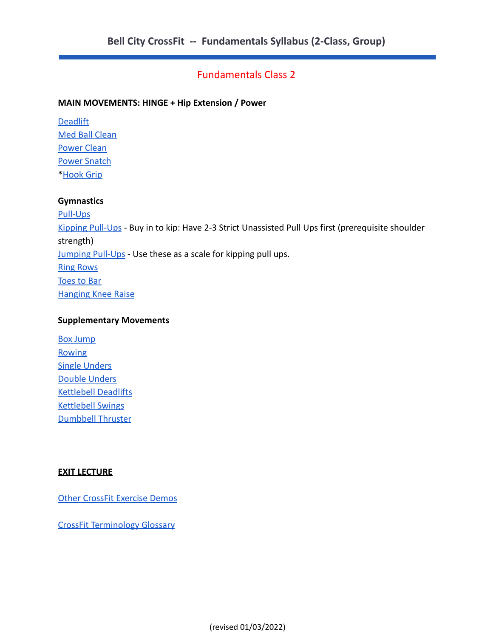# Fundamentals Class 2

#### **MAIN MOVEMENTS: HINGE + Hip Extension / Power**

**[Deadlift](https://www.youtube.com/watch?v=op9kVnSso6Q)** [Med Ball Clean](https://youtu.be/-nk0GqeSTJs) [Power Clean](https://youtu.be/GVt4uQ0sDJE) [Power Snatch](https://youtu.be/tuOiNeTvLJs) \*[Hook Grip](https://youtu.be/4e47lyAbj6I)

#### **Gymnastics**

[Pull-Ups](https://www.youtube.com/watch?v=aAggnpPyR6E) [Kipping Pull-Ups](https://www.youtube.com/watch?v=r45xLlH7r_M) - Buy in to kip: Have 2-3 Strict Unassisted Pull Ups first (prerequisite shoulder strength) [Jumping Pull-Ups](https://www.youtube.com/watch?time_continue=2&v=fKe5S1dd0fw) - Use these as a scale for kipping pull ups. [Ring Rows](https://www.youtube.com/watch?v=xhlReCpAE9k) [Toes to Bar](https://youtu.be/_03pCKOv4l4) [Hanging Knee Raise](https://youtu.be/KNzJ3GuIpB8)

#### **Supplementary Movements**

[Box Jump](https://www.youtube.com/watch?v=52r_Ul5k03g) **[Rowing](https://youtu.be/S7HEm-fd534)** [Single Unders](https://www.youtube.com/watch?v=hCuXYrTOMxI) [Double Unders](https://youtu.be/-tF3hUsPZAI) [Kettlebell Deadlifts](https://youtu.be/D4HiOVf0aVg) [Kettlebell Swings](https://youtu.be/vdezTMulJ-k) [Dumbbell Thruster](https://youtu.be/M5gEwLTtWbg)

#### **EXIT LECTURE**

[Other CrossFit Exercise Demos](https://www.crossfit.com/exercisedemos/)

[CrossFit Terminology Glossary](http://www.fitnesshq.com/crossfit-terms/)